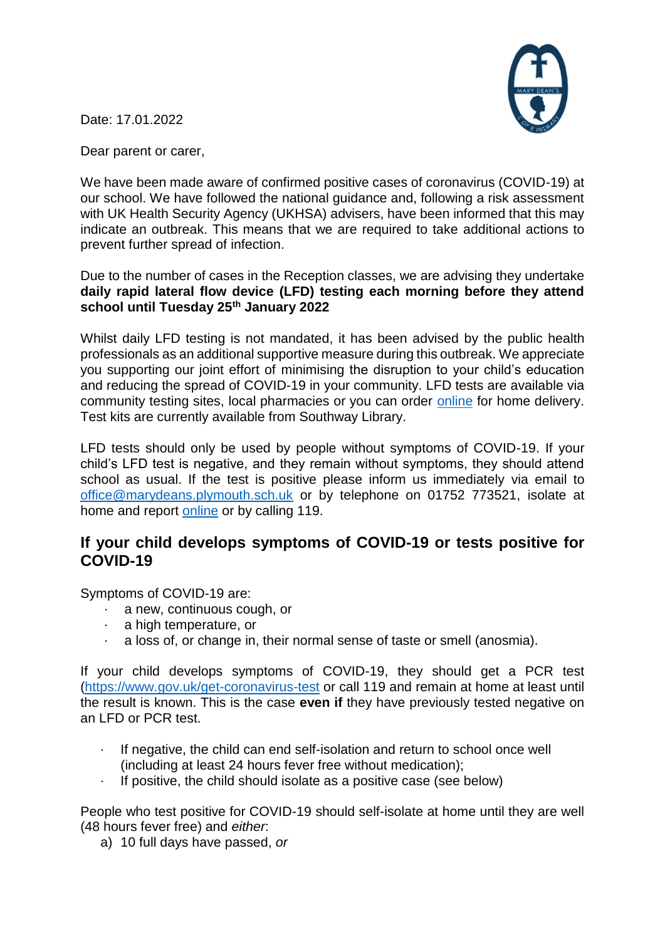

Date: 17.01.2022

Dear parent or carer,

We have been made aware of confirmed positive cases of coronavirus (COVID-19) at our school. We have followed the national guidance and, following a risk assessment with UK Health Security Agency (UKHSA) advisers, have been informed that this may indicate an outbreak. This means that we are required to take additional actions to prevent further spread of infection.

Due to the number of cases in the Reception classes, we are advising they undertake **daily rapid lateral flow device (LFD) testing each morning before they attend school until Tuesday 25th January 2022**

Whilst daily LFD testing is not mandated, it has been advised by the public health professionals as an additional supportive measure during this outbreak. We appreciate you supporting our joint effort of minimising the disruption to your child's education and reducing the spread of COVID-19 in your community. LFD tests are available via community testing sites, local pharmacies or you can order [online](https://www.gov.uk/order-coronavirus-rapid-lateral-flow-tests) for home delivery. Test kits are currently available from Southway Library.

LFD tests should only be used by people without symptoms of COVID-19. If your child's LFD test is negative, and they remain without symptoms, they should attend school as usual. If the test is positive please inform us immediately via email to [office@marydeans.plymouth.sch.uk](mailto:office@marydeans.plymouth.sch.uk) or by telephone on 01752 773521, isolate at home and report [online](https://www.nhs.uk/conditions/coronavirus-covid-19/testing/test-results/report-a-rapid-lateral-flow-test-result/) or by calling 119.

# **If your child develops symptoms of COVID-19 or tests positive for COVID-19**

Symptoms of COVID-19 are:

- a new, continuous cough, or
- a high temperature, or
- a loss of, or change in, their normal sense of taste or smell (anosmia).

If your child develops symptoms of COVID-19, they should get a PCR test [\(https://www.gov.uk/get-coronavirus-test](https://www.gov.uk/get-coronavirus-test) or call 119 and remain at home at least until the result is known. This is the case **even if** they have previously tested negative on an LFD or PCR test.

- If negative, the child can end self-isolation and return to school once well (including at least 24 hours fever free without medication);
- $\cdot$  If positive, the child should isolate as a positive case (see below)

People who test positive for COVID-19 should self-isolate at home until they are well (48 hours fever free) and *either*:

a) 10 full days have passed, *or*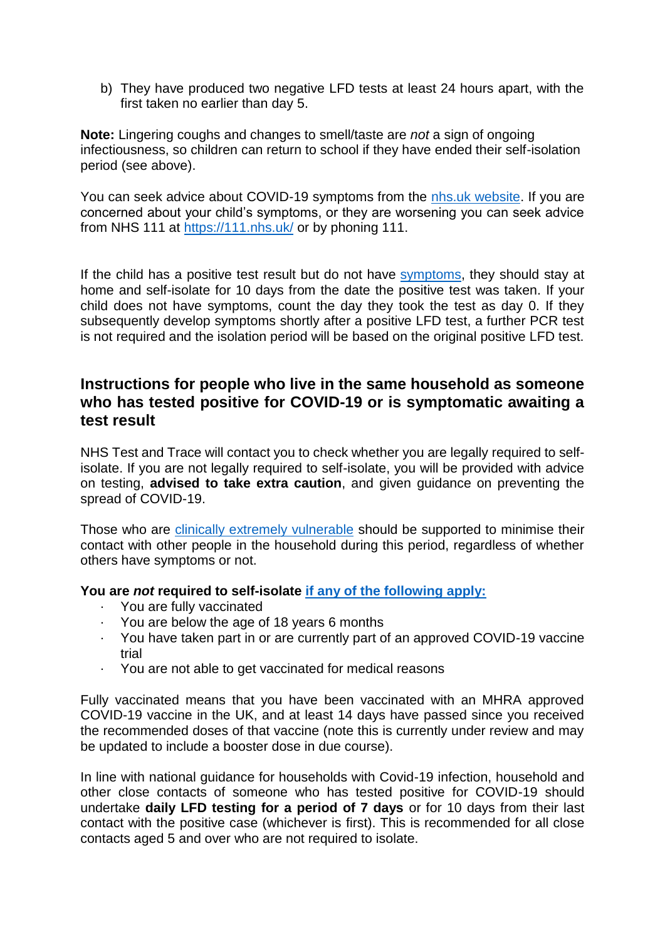b) They have produced two negative LFD tests at least 24 hours apart, with the first taken no earlier than day 5.

**Note:** Lingering coughs and changes to smell/taste are *not* a sign of ongoing infectiousness, so children can return to school if they have ended their self-isolation period (see above).

You can seek advice about COVID-19 symptoms from the [nhs.uk website.](https://www.nhs.uk/conditions/coronavirus-covid-19/check-if-you-have-coronavirus-symptoms/) If you are concerned about your child's symptoms, or they are worsening you can seek advice from NHS 111 at<https://111.nhs.uk/> or by phoning 111.

If the child has a positive test result but do not have [symptoms,](https://www.gov.uk/government/publications/covid-19-stay-at-home-guidance/stay-at-home-guidance-for-households-with-possible-coronavirus-covid-19-infection#symptoms) they should stay at home and self-isolate for 10 days from the date the positive test was taken. If your child does not have symptoms, count the day they took the test as day 0. If they subsequently develop symptoms shortly after a positive LFD test, a further PCR test is not required and the isolation period will be based on the original positive LFD test.

## **Instructions for people who live in the same household as someone who has tested positive for COVID-19 or is symptomatic awaiting a test result**

NHS Test and Trace will contact you to check whether you are legally required to selfisolate. If you are not legally required to self-isolate, you will be provided with advice on testing, **advised to take extra caution**, and given guidance on preventing the spread of COVID-19.

Those who are [clinically extremely vulnerable](https://www.gov.uk/government/publications/guidance-on-shielding-and-protecting-extremely-vulnerable-persons-from-covid-19/guidance-on-shielding-and-protecting-extremely-vulnerable-persons-from-covid-19) should be supported to minimise their contact with other people in the household during this period, regardless of whether others have symptoms or not.

### **You are** *not* **required to self-isolate [if any of the following apply:](https://www.gov.uk/government/publications/covid-19-stay-at-home-guidance/stay-at-home-guidance-for-households-with-possible-coronavirus-covid-19-infection#exempt)**

- · You are fully vaccinated
- · You are below the age of 18 years 6 months
- · You have taken part in or are currently part of an approved COVID-19 vaccine trial
- · You are not able to get vaccinated for medical reasons

Fully vaccinated means that you have been vaccinated with an MHRA approved COVID-19 vaccine in the UK, and at least 14 days have passed since you received the recommended doses of that vaccine (note this is currently under review and may be updated to include a booster dose in due course).

In line with national guidance for households with Covid-19 infection, household and other close contacts of someone who has tested positive for COVID-19 should undertake **daily LFD testing for a period of 7 days** or for 10 days from their last contact with the positive case (whichever is first). This is recommended for all close contacts aged 5 and over who are not required to isolate.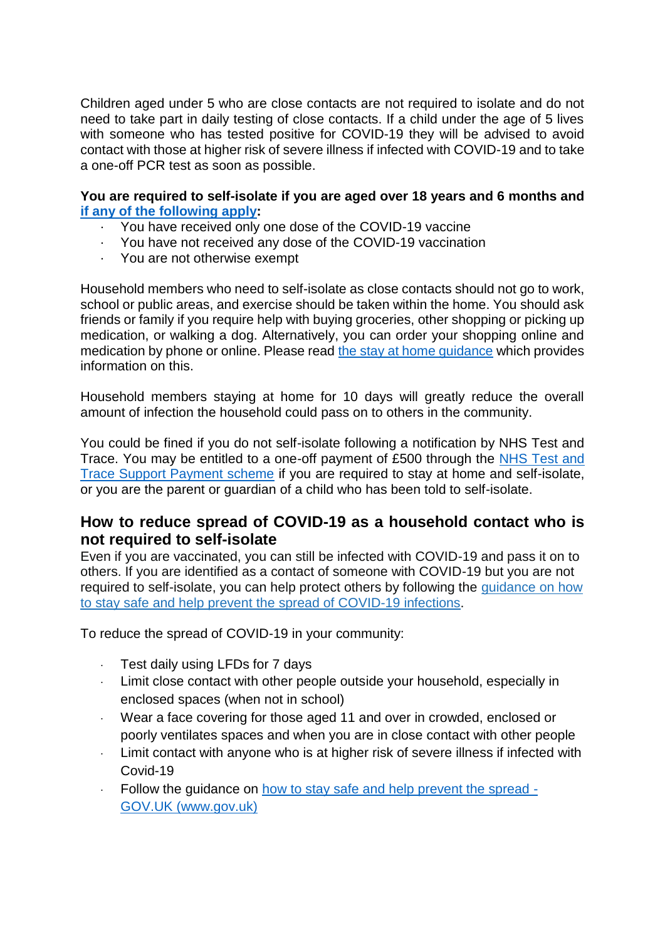Children aged under 5 who are close contacts are not required to isolate and do not need to take part in daily testing of close contacts. If a child under the age of 5 lives with someone who has tested positive for COVID-19 they will be advised to avoid contact with those at higher risk of severe illness if infected with COVID-19 and to take a one-off PCR test as soon as possible.

#### **You are required to self-isolate if you are aged over 18 years and 6 months and [if any of the following apply:](https://www.nhs.uk/conditions/coronavirus-covid-19/self-isolation-and-treatment/when-to-self-isolate-and-what-to-do/)**

- · You have received only one dose of the COVID-19 vaccine
- · You have not received any dose of the COVID-19 vaccination
- · You are not otherwise exempt

Household members who need to self-isolate as close contacts should not go to work, school or public areas, and exercise should be taken within the home. You should ask friends or family if you require help with buying groceries, other shopping or picking up medication, or walking a dog. Alternatively, you can order your shopping online and medication by phone or online. Please read [the stay at home guidance](https://www.gov.uk/government/publications/covid-19-stay-at-home-guidance/stay-at-home-guidance-for-households-with-possible-coronavirus-covid-19-infection) which provides information on this.

Household members staying at home for 10 days will greatly reduce the overall amount of infection the household could pass on to others in the community.

You could be fined if you do not self-isolate following a notification by NHS Test and Trace. You may be entitled to a one-off payment of £500 through the [NHS Test and](https://www.gov.uk/government/publications/test-and-trace-support-payment-scheme-claiming-financial-support/claiming-financial-support-under-the-test-and-trace-support-payment-scheme)  [Trace Support Payment scheme](https://www.gov.uk/government/publications/test-and-trace-support-payment-scheme-claiming-financial-support/claiming-financial-support-under-the-test-and-trace-support-payment-scheme) if you are required to stay at home and self-isolate, or you are the parent or guardian of a child who has been told to self-isolate.

### **How to reduce spread of COVID-19 as a household contact who is not required to self-isolate**

Even if you are vaccinated, you can still be infected with COVID-19 and pass it on to others. If you are identified as a contact of someone with COVID-19 but you are not required to self-isolate, you can help protect others by following the [guidance](https://www.gov.uk/guidance/covid-19-coronavirus-restrictions-what-you-can-and-cannot-do#keeping-yourself-and-others-safe) on how to stay safe and help [prevent](https://www.gov.uk/guidance/covid-19-coronavirus-restrictions-what-you-can-and-cannot-do#keeping-yourself-and-others-safe) the spread of COVID-19 infections.

To reduce the spread of COVID-19 in your community:

- Test daily using LFDs for 7 days
- · Limit close contact with other people outside your household, especially in enclosed spaces (when not in school)
- Wear a face covering for those aged 11 and over in crowded, enclosed or poorly ventilates spaces and when you are in close contact with other people
- · Limit contact with anyone who is at higher risk of severe illness if infected with Covid-19
- · Follow the guidance on how to stay safe and help prevent the spread GOV.UK (www.gov.uk)